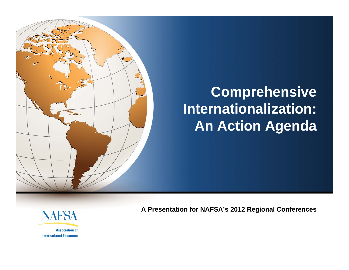

# **Comprehensive Internationalization: An Action Agenda**



**Association of International Educators**  **A Presentation for NAFSA's 2012 Regional Conferences**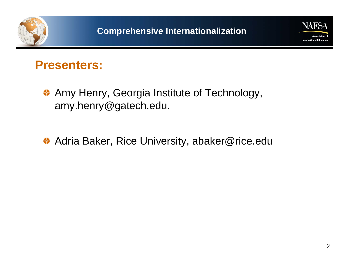



### **Presenters:**

- **Amy Henry, Georgia Institute of Technology,** amy.henry@gatech.edu.
- ◆ Adria Baker, Rice University, abaker@rice.edu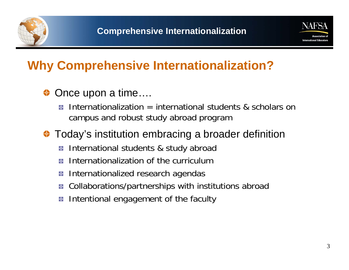



## **Why Comprehensive Internationalization?**

### Once upon a time….

Internationalization  $=$  international students & scholars on ቝ campus and robust study abroad program

### ◆ Today's institution embracing a broader definition

- International students & study abroad -6-
- Internationalization of the curriculumᡫ
- Internationalized research agendas ф.
- Collaborations/partnerships with institutions abroad -ቀ
- Intentional engagement of the faculty ቀ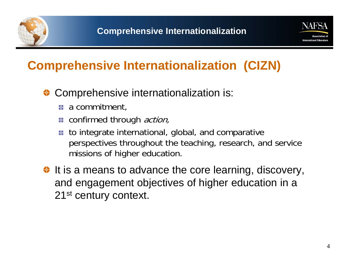



## **Comprehensive Internationalization (CIZN)**

### ◆ Comprehensive internationalization is:

- **a** a commitment,
- **a** confirmed through *action*,
- to integrate international, global, and comparative ቍ perspectives throughout the teaching, research, and service missions of higher education.
- $\bullet$  It is a means to advance the core learning, discovery, and engagement objectives of higher education in a 21<sup>st</sup> century context.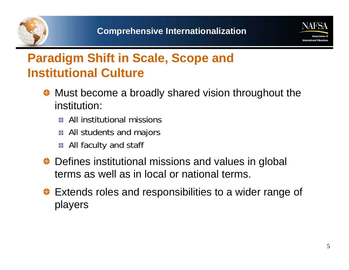



### **Paradigm Shift in Scale, Scope and Institutional Culture**

- ◆ Must become a broadly shared vision throughout the institution:
	- **All institutional missions**
	- **All students and majors**
	- **All faculty and staff**
- ◆ Defines institutional missions and values in global terms as well as in local or national terms.
- **Extends roles and responsibilities to a wider range of** players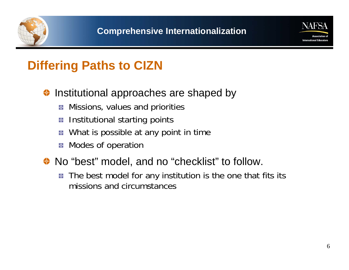



### **Differing Paths to CIZN**

### Institutional approaches are shaped by ₩

- Missions, values and priorities -ቀ
- **E** Institutional starting points
- What is possible at any point in time ቝ
- **Modes of operation**
- ◆ No "best" model, and no "checklist" to follow.
	- The best model for any institution is the one that fits its - 4 missions and circumstances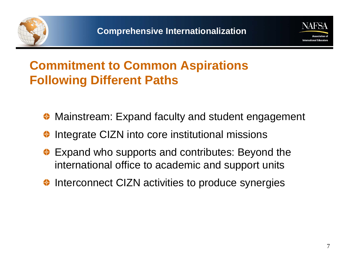



# **Commitment to Common Aspirations Following Different Paths**

- ◆ Mainstream: Expand faculty and student engagement
- Integrate CIZN into core institutional missions
- ◆ Expand who supports and contributes: Beyond the international office to academic and support units
- ♦ Interconnect CIZN activities to produce synergies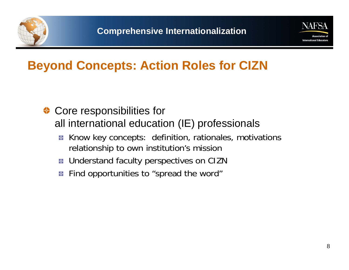



### **Beyond Concepts: Action Roles for CIZN**

- ◆ Core responsibilities for all international education (IE) professionals
	- Know key concepts: definition, rationales, motivations -фrelationship to own institution's mission
	- **E** Understand faculty perspectives on CIZN
	- Find opportunities to "spread the word" ф.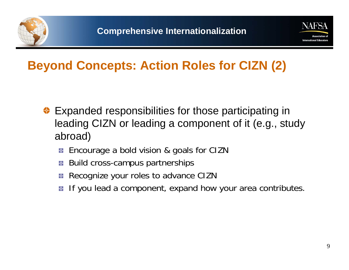



### **Beyond Concepts: Action Roles for CIZN (2)**

- Expanded responsibilities for those participating in leading CIZN or leading a component of it (e.g., study abroad)
	- Encourage a bold vision & goals for CIZN ф.
	- Build cross-campus partnerships Нф-
	- Recognize your roles to advance CIZN -ቀ
	- If you lead a component, expand how your area contributes.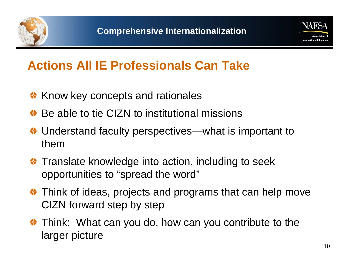



### **Actions All IE Professionals Can Take**

- **◆ Know key concepts and rationales**
- ◆ Be able to tie CIZN to institutional missions
- ◆ Understand faculty perspectives—what is important to them
- **Translate knowledge into action, including to seek** opportunities to "spread the word"
- Think of ideas, projects and programs that can help move CIZN forward step by step
- Think: What can you do, how can you contribute to the larger picture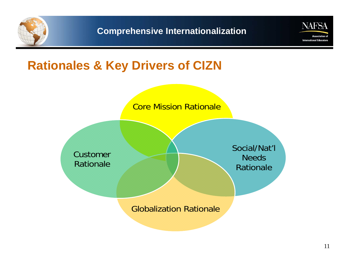



### **Rationales & Key Drivers of CIZN**

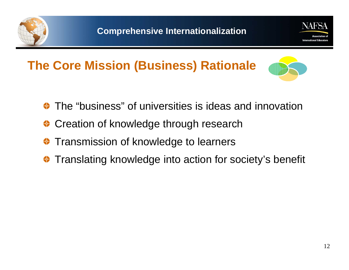



# **The Core Mission (Business) Rationale**



- The "business" of universities is ideas and innovation
- Creation of knowledge through research
- Transmission of knowledge to learners
- Translating knowledge into action for society's benefit ₩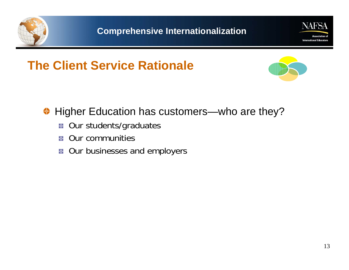



# **The Client Service Rationale**



### Higher Education has customers—who are they? ⇔

- Our students/graduates -ф-
- Our communities Нф-
- **B** Our businesses and employers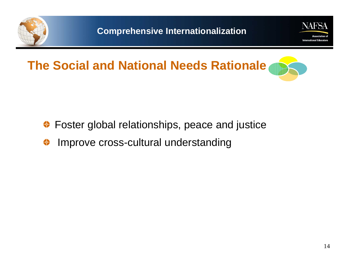



# **The Social and National Needs Rationale**

- Foster global relationships, peace and justice ⇔
- Improve cross-cultural understanding ⇔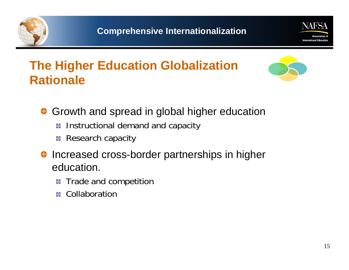



# **The Higher Education Globalization Rationale**



- Growth and spread in global higher education
	- Instructional demand and capacity -ቀ
	- **Research capacity**
- ♦ Increased cross-border partnerships in higher education.
	- Trade and competition ቝ
	- Collaborationቊ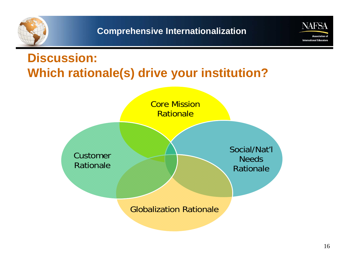



# **Discussion: Which rationale(s) drive your institution?**

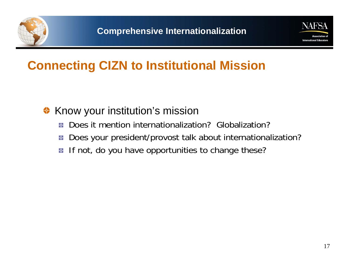



### **Connecting CIZN to Institutional Mission**

#### Know your institution's mission ₩

- Does it mention internationalization? Globalization?ቝ
- Does your president/provost talk about internationalization? -6-
- If not, do you have opportunities to change these? ቀ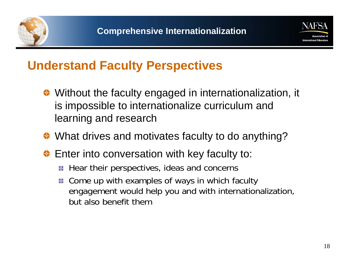



### **Understand Faculty Perspectives**

- ◆ Without the faculty engaged in internationalization, it is impossible to internationalize curriculum and learning and research
- ◆ What drives and motivates faculty to do anything?
- ◆ Enter into conversation with key faculty to:
	- Hear their perspectives, ideas and concerns ф.
	- **E** Come up with examples of ways in which faculty engagement would help you and with internationalization, but also benefit them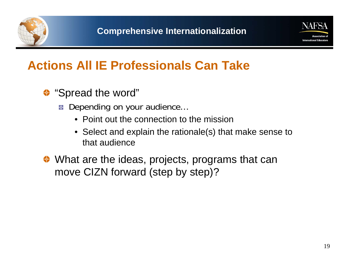



### **Actions All IE Professionals Can Take**

- <sup>◆</sup> "Spread the word"
	- Depending on your audience...
		- Point out the connection to the mission
		- Select and explain the rationale(s) that make sense to that audience
- ◆ What are the ideas, projects, programs that can move CIZN forward (step by step)?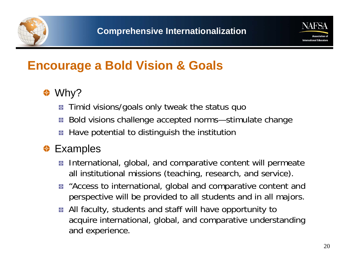



### **Encourage a Bold Vision & Goals**

### <sup>◆</sup> Why?

- Timid visions/goals only tweak the status quo ф.
- Bold visions challenge accepted norms—stimulate change
- Have potential to distinguish the institution ቝ

### **<sup>◆</sup>** Examples

- **E** International, global, and comparative content will permeate all institutional missions (teaching, research, and service).
- **E** "Access to international, global and comparative content and perspective will be provided to all students and in all majors.
- **All faculty, students and staff will have opportunity to** acquire international, global, and comparative understanding and experience.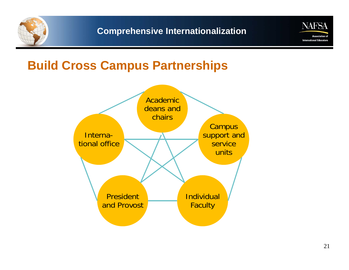



### **Build Cross Campus Partnerships**

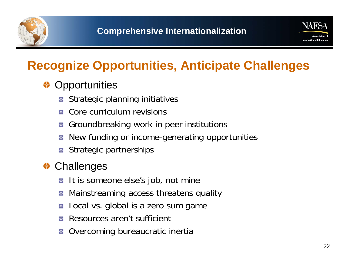



# **Recognize Opportunities, Anticipate Challenges**

### **Opportunities** ⇔

- Strategic planning initiatives ᠊ᡐ
- Core curriculum revisionsю.
- Groundbreaking work in peer institutions -ቀ
- New funding or income-generating opportunities
- Strategic partnerships -ф-

**Challenges** ≎

- It is someone else's job, not mine ф.
- Mainstreaming access threatens quality -6-
- Local vs. global is a zero sum game ф.
- Resources aren't sufficient
- Overcoming bureaucratic inertia ф.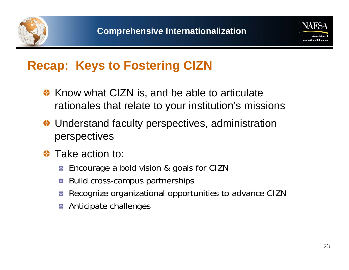



### **Recap: Keys to Fostering CIZN**

- ♦ Know what CIZN is, and be able to articulate rationales that relate to your institution's missions
- **♦ Understand faculty perspectives, administration** perspectives
- Take action to: ≎
	- Encourage a bold vision & goals for CIZN ф.
	- Build cross-campus partnerships
	- Recognize organizational opportunities to advance CIZN
	- Anticipate challenges -ቀ